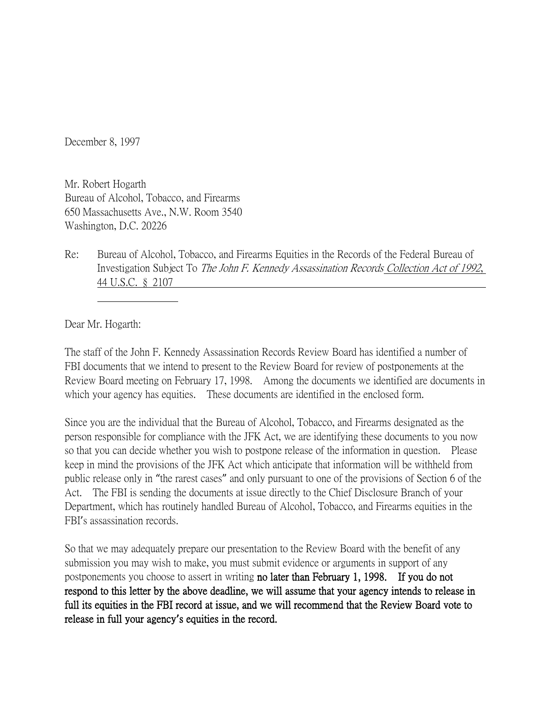December 8, 1997

Mr. Robert Hogarth Bureau of Alcohol, Tobacco, and Firearms 650 Massachusetts Ave., N.W. Room 3540 Washington, D.C. 20226

Re: Bureau of Alcohol, Tobacco, and Firearms Equities in the Records of the Federal Bureau of Investigation Subject To The John F. Kennedy Assassination Records Collection Act of 1992, 44 U.S.C. § 2107

Dear Mr. Hogarth:

The staff of the John F. Kennedy Assassination Records Review Board has identified a number of FBI documents that we intend to present to the Review Board for review of postponements at the Review Board meeting on February 17, 1998. Among the documents we identified are documents in which your agency has equities. These documents are identified in the enclosed form.

Since you are the individual that the Bureau of Alcohol, Tobacco, and Firearms designated as the person responsible for compliance with the JFK Act, we are identifying these documents to you now so that you can decide whether you wish to postpone release of the information in question. Please keep in mind the provisions of the JFK Act which anticipate that information will be withheld from public release only in "the rarest cases" and only pursuant to one of the provisions of Section 6 of the Act. The FBI is sending the documents at issue directly to the Chief Disclosure Branch of your Department, which has routinely handled Bureau of Alcohol, Tobacco, and Firearms equities in the FBI's assassination records.

So that we may adequately prepare our presentation to the Review Board with the benefit of any submission you may wish to make, you must submit evidence or arguments in support of any postponements you choose to assert in writing no later than February 1, 1998. If you do not respond to this letter by the above deadline, we will assume that your agency intends to release in full its equities in the FBI record at issue, and we will recommend that the Review Board vote to release in full your agency**'**s equities in the record.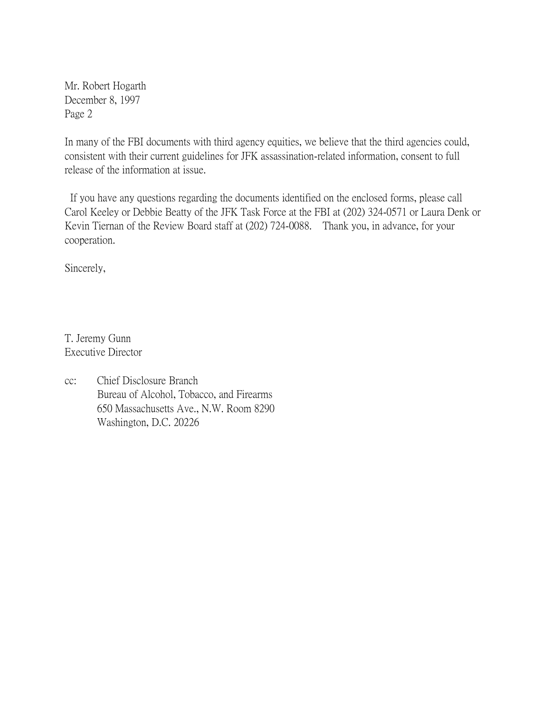Mr. Robert Hogarth December 8, 1997 Page 2

In many of the FBI documents with third agency equities, we believe that the third agencies could, consistent with their current guidelines for JFK assassination-related information, consent to full release of the information at issue.

If you have any questions regarding the documents identified on the enclosed forms, please call Carol Keeley or Debbie Beatty of the JFK Task Force at the FBI at (202) 324-0571 or Laura Denk or Kevin Tiernan of the Review Board staff at (202) 724-0088. Thank you, in advance, for your cooperation.

Sincerely,

T. Jeremy Gunn Executive Director

cc: Chief Disclosure Branch Bureau of Alcohol, Tobacco, and Firearms 650 Massachusetts Ave., N.W. Room 8290 Washington, D.C. 20226